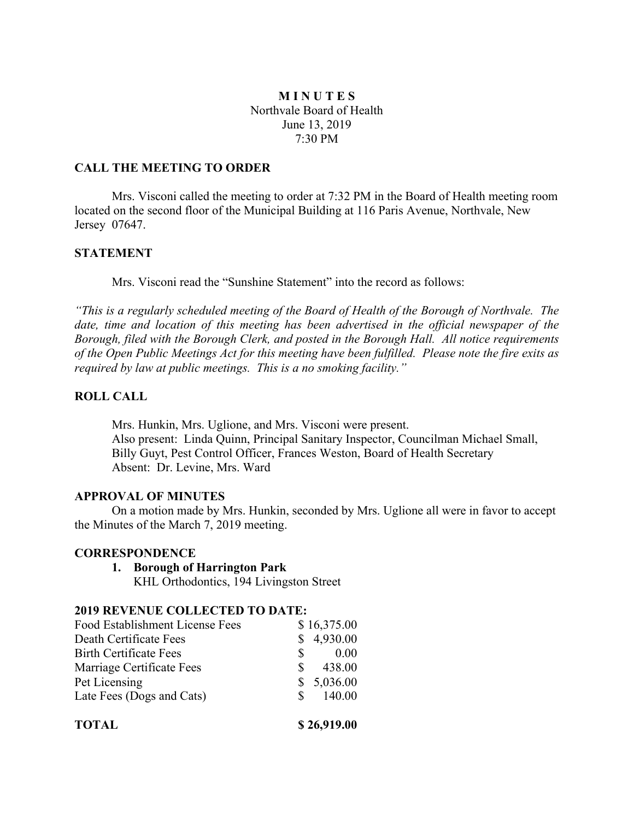# **M I N U T E S** Northvale Board of Health June 13, 2019 7:30 PM

## **CALL THE MEETING TO ORDER**

Mrs. Visconi called the meeting to order at 7:32 PM in the Board of Health meeting room located on the second floor of the Municipal Building at 116 Paris Avenue, Northvale, New Jersey 07647.

### **STATEMENT**

Mrs. Visconi read the "Sunshine Statement" into the record as follows:

*"This is a regularly scheduled meeting of the Board of Health of the Borough of Northvale. The date, time and location of this meeting has been advertised in the official newspaper of the Borough, filed with the Borough Clerk, and posted in the Borough Hall. All notice requirements of the Open Public Meetings Act for this meeting have been fulfilled. Please note the fire exits as required by law at public meetings. This is a no smoking facility."*

## **ROLL CALL**

Mrs. Hunkin, Mrs. Uglione, and Mrs. Visconi were present. Also present: Linda Quinn, Principal Sanitary Inspector, Councilman Michael Small, Billy Guyt, Pest Control Officer, Frances Weston, Board of Health Secretary Absent: Dr. Levine, Mrs. Ward

## **APPROVAL OF MINUTES**

On a motion made by Mrs. Hunkin, seconded by Mrs. Uglione all were in favor to accept the Minutes of the March 7, 2019 meeting.

#### **CORRESPONDENCE**

**1. Borough of Harrington Park**

KHL Orthodontics, 194 Livingston Street

# **2019 REVENUE COLLECTED TO DATE:**

| <b>TOTAL</b>                    | \$26,919.00  |
|---------------------------------|--------------|
| Late Fees (Dogs and Cats)       | 140.00<br>S. |
| Pet Licensing                   | \$5,036.00   |
| Marriage Certificate Fees       | 438.00<br>S  |
| <b>Birth Certificate Fees</b>   | 0.00<br>S.   |
| Death Certificate Fees          | 4,930.00     |
| Food Establishment License Fees | \$16,375.00  |
|                                 |              |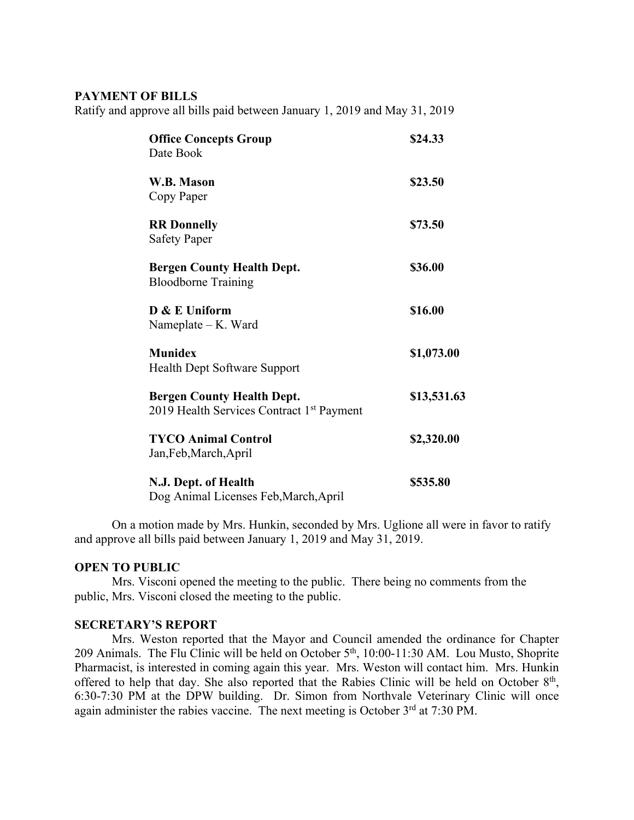## **PAYMENT OF BILLS**

Ratify and approve all bills paid between January 1, 2019 and May 31, 2019

| <b>Office Concepts Group</b><br>Date Book                                                  | \$24.33     |
|--------------------------------------------------------------------------------------------|-------------|
| W.B. Mason<br>Copy Paper                                                                   | \$23.50     |
| <b>RR</b> Donnelly<br><b>Safety Paper</b>                                                  | \$73.50     |
| <b>Bergen County Health Dept.</b><br><b>Bloodborne Training</b>                            | \$36.00     |
| $D & E$ Uniform<br>Nameplate - K. Ward                                                     | \$16.00     |
| <b>Munidex</b><br>Health Dept Software Support                                             | \$1,073.00  |
| <b>Bergen County Health Dept.</b><br>2019 Health Services Contract 1 <sup>st</sup> Payment | \$13,531.63 |
| <b>TYCO Animal Control</b><br>Jan, Feb, March, April                                       | \$2,320.00  |
| N.J. Dept. of Health<br>$D_{\alpha\alpha}$ Animal Licenses Esk Mansh Anuil                 | \$535.80    |

Dog Animal Licenses Feb,March,April

On a motion made by Mrs. Hunkin, seconded by Mrs. Uglione all were in favor to ratify and approve all bills paid between January 1, 2019 and May 31, 2019.

## **OPEN TO PUBLIC**

Mrs. Visconi opened the meeting to the public. There being no comments from the public, Mrs. Visconi closed the meeting to the public.

### **SECRETARY'S REPORT**

Mrs. Weston reported that the Mayor and Council amended the ordinance for Chapter 209 Animals. The Flu Clinic will be held on October 5th, 10:00-11:30 AM. Lou Musto, Shoprite Pharmacist, is interested in coming again this year. Mrs. Weston will contact him. Mrs. Hunkin offered to help that day. She also reported that the Rabies Clinic will be held on October  $8<sup>th</sup>$ , 6:30-7:30 PM at the DPW building. Dr. Simon from Northvale Veterinary Clinic will once again administer the rabies vaccine. The next meeting is October 3<sup>rd</sup> at 7:30 PM.